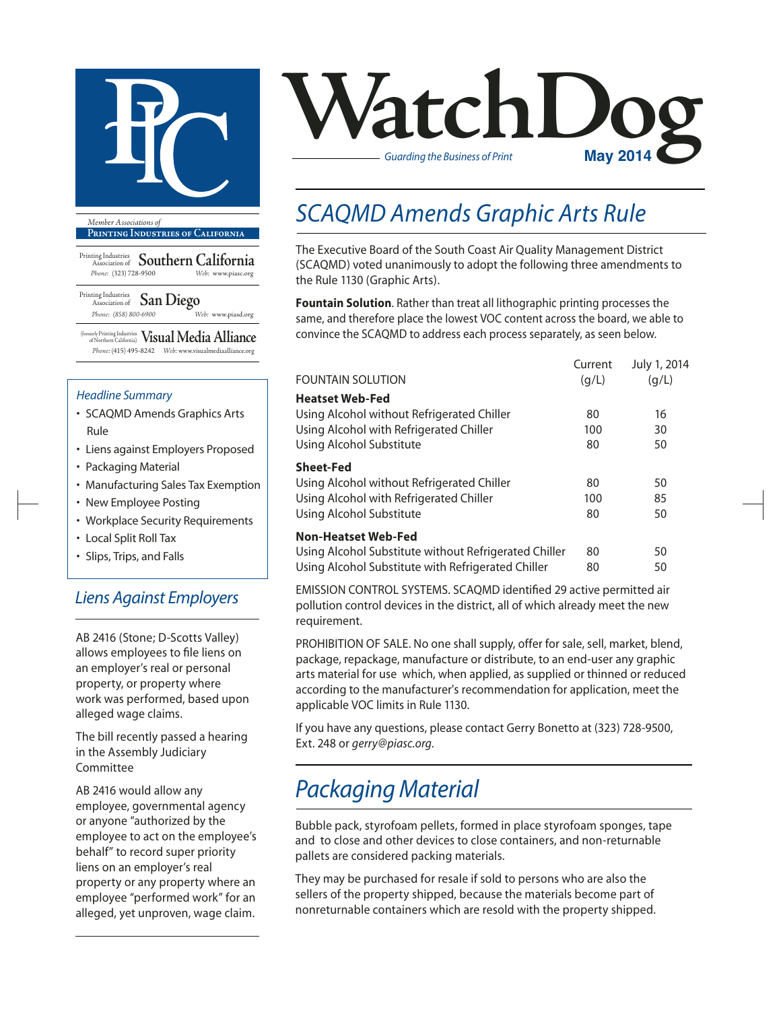

**Printing Industries of California**

Printing Industries Association of **Southern California** *Phone:* (323) 728-9500 *Web:* www.piasc.org

Printing Industries Association of **San Diego** *Phone: (858) 800-6900 Web:* www.piasd.org

(formerly Printing Industries of Northern California) **Visual Media Alliance** *Phone:* (415) 495-8242 *Web:* www.visualmediaalliance.org

#### *Headline Summary*

- SCAQMD Amends Graphics Arts Rule
- Liens against Employers Proposed
- Packaging Material
- Manufacturing Sales Tax Exemption
- New Employee Posting
- Workplace Security Requirements
- Local Split Roll Tax
- Slips, Trips, and Falls

#### *Liens Against Employers*

AB 2416 (Stone; D-Scotts Valley) allows employees to file liens on an employer's real or personal property, or property where work was performed, based upon alleged wage claims.

The bill recently passed a hearing in the Assembly Judiciary Committee

AB 2416 would allow any employee, governmental agency or anyone "authorized by the employee to act on the employee's behalf" to record super priority liens on an employer's real property or any property where an employee "performed work" for an alleged, yet unproven, wage claim.



### *SCAQMD Amends Graphic Arts Rule*

The Executive Board of the South Coast Air Quality Management District (SCAQMD) voted unanimously to adopt the following three amendments to the Rule 1130 (Graphic Arts).

**Fountain Solution**. Rather than treat all lithographic printing processes the same, and therefore place the lowest VOC content across the board, we able to convince the SCAQMD to address each process separately, as seen below.

|                                                       | Current | July 1, 2014 |
|-------------------------------------------------------|---------|--------------|
| <b>FOUNTAIN SOLUTION</b>                              | (q/L)   | (q/L)        |
| <b>Heatset Web-Fed</b>                                |         |              |
| Using Alcohol without Refrigerated Chiller            | 80      | 16           |
| Using Alcohol with Refrigerated Chiller               | 100     | 30           |
| Using Alcohol Substitute                              | 80      | 50           |
| <b>Sheet-Fed</b>                                      |         |              |
| Using Alcohol without Refrigerated Chiller            | 80      | 50           |
| Using Alcohol with Refrigerated Chiller               | 100     | 85           |
| Using Alcohol Substitute                              | 80      | 50           |
| <b>Non-Heatset Web-Fed</b>                            |         |              |
| Using Alcohol Substitute without Refrigerated Chiller | 80      | 50           |
| Using Alcohol Substitute with Refrigerated Chiller    | 80      | 50           |

EMISSION CONTROL SYSTEMS. SCAQMD identified 29 active permitted air pollution control devices in the district, all of which already meet the new requirement.

PROHIBITION OF SALE. No one shall supply, offer for sale, sell, market, blend, package, repackage, manufacture or distribute, to an end-user any graphic arts material for use which, when applied, as supplied or thinned or reduced according to the manufacturer's recommendation for application, meet the applicable VOC limits in Rule 1130.

If you have any questions, please contact Gerry Bonetto at (323) 728-9500, Ext. 248 or *gerry@piasc.org*.

### *Packaging Material*

Bubble pack, styrofoam pellets, formed in place styrofoam sponges, tape and to close and other devices to close containers, and non-returnable pallets are considered packing materials.

They may be purchased for resale if sold to persons who are also the sellers of the property shipped, because the materials become part of nonreturnable containers which are resold with the property shipped.